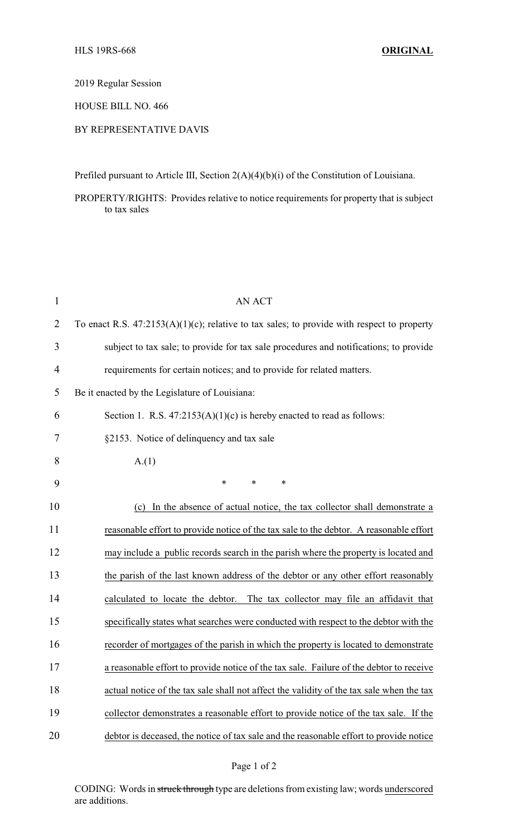2019 Regular Session

HOUSE BILL NO. 466

## BY REPRESENTATIVE DAVIS

Prefiled pursuant to Article III, Section 2(A)(4)(b)(i) of the Constitution of Louisiana.

PROPERTY/RIGHTS: Provides relative to notice requirements for property that is subject to tax sales

| $\mathbf{1}$   | <b>AN ACT</b>                                                                                 |
|----------------|-----------------------------------------------------------------------------------------------|
| 2              | To enact R.S. $47:2153(A)(1)(c)$ ; relative to tax sales; to provide with respect to property |
| 3              | subject to tax sale; to provide for tax sale procedures and notifications; to provide         |
| $\overline{4}$ | requirements for certain notices; and to provide for related matters.                         |
| 5              | Be it enacted by the Legislature of Louisiana:                                                |
| 6              | Section 1. R.S. $47:2153(A)(1)(c)$ is hereby enacted to read as follows:                      |
| 7              | §2153. Notice of delinquency and tax sale                                                     |
| 8              | A(1)                                                                                          |
| 9              | *<br>$\ast$<br>*                                                                              |
| 10             | In the absence of actual notice, the tax collector shall demonstrate a<br>(c)                 |
| 11             | reasonable effort to provide notice of the tax sale to the debtor. A reasonable effort        |
| 12             | may include a public records search in the parish where the property is located and           |
| 13             | the parish of the last known address of the debtor or any other effort reasonably             |
| 14             | calculated to locate the debtor.<br>The tax collector may file an affidavit that              |
| 15             | specifically states what searches were conducted with respect to the debtor with the          |
| 16             | recorder of mortgages of the parish in which the property is located to demonstrate           |
| 17             | a reasonable effort to provide notice of the tax sale. Failure of the debtor to receive       |
| 18             | actual notice of the tax sale shall not affect the validity of the tax sale when the tax      |
| 19             | collector demonstrates a reasonable effort to provide notice of the tax sale. If the          |
| 20             | debtor is deceased, the notice of tax sale and the reasonable effort to provide notice        |

CODING: Words in struck through type are deletions from existing law; words underscored are additions.